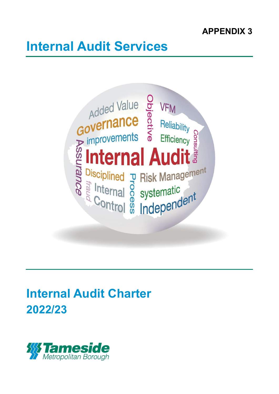# **APPENDIX 3**

# **Internal Audit Services**



# **Internal Audit Charter 2022/23**

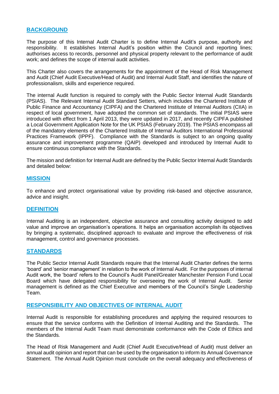# **BACKGROUND**

The purpose of this Internal Audit Charter is to define Internal Audit's purpose, authority and responsibility. It establishes Internal Audit's position within the Council and reporting lines; authorises access to records, personnel and physical property relevant to the performance of audit work; and defines the scope of internal audit activities.

This Charter also covers the arrangements for the appointment of the Head of Risk Management and Audit (Chief Audit Executive/Head of Audit) and Internal Audit Staff, and identifies the nature of professionalism, skills and experience required.

The internal Audit function is required to comply with the Public Sector Internal Audit Standards (PSIAS). The Relevant Internal Audit Standard Setters, which includes the Chartered Institute of Public Finance and Accountancy (CIPFA) and the Chartered Institute of Internal Auditors (CIIA) in respect of local government, have adopted the common set of standards. The initial PSIAS were introduced with effect from 1 April 2013, they were updated in 2017, and recently CIPFA published a Local Government Application Note for the UK PSIAS (February 2019). The PSIAS encompass all of the mandatory elements of the Chartered Institute of Internal Auditors International Professional Practices Framework (IPPF). Compliance with the Standards is subject to an ongoing quality assurance and improvement programme (QAIP) developed and introduced by Internal Audit to ensure continuous compliance with the Standards.

The mission and definition for Internal Audit are defined by the Public Sector Internal Audit Standards and detailed below:

#### **MISSION**

To enhance and protect organisational value by providing risk-based and objective assurance, advice and insight.

#### **DEFINITION**

Internal Auditing is an independent, objective assurance and consulting activity designed to add value and improve an organisation's operations. It helps an organisation accomplish its objectives by bringing a systematic, disciplined approach to evaluate and improve the effectiveness of risk management, control and governance processes.

#### **STANDARDS**

The Public Sector Internal Audit Standards require that the Internal Audit Charter defines the terms 'board' and 'senior management' in relation to the work of Internal Audit. For the purposes of internal Audit work, the 'board' refers to the Council's Audit Panel/Greater Manchester Pension Fund Local Board which have delegated responsibility for overseeing the work of Internal Audit. Senior management is defined as the Chief Executive and members of the Council's Single Leadership Team.

#### **RESPONSIBILITY AND OBJECTIVES OF INTERNAL AUDIT**

Internal Audit is responsible for establishing procedures and applying the required resources to ensure that the service conforms with the Definition of Internal Auditing and the Standards. The members of the Internal Audit Team must demonstrate conformance with the Code of Ethics and the Standards*.* 

The Head of Risk Management and Audit (Chief Audit Executive/Head of Audit) must deliver an annual audit opinion and report that can be used by the organisation to inform its Annual Governance Statement. The Annual Audit Opinion must conclude on the overall adequacy and effectiveness of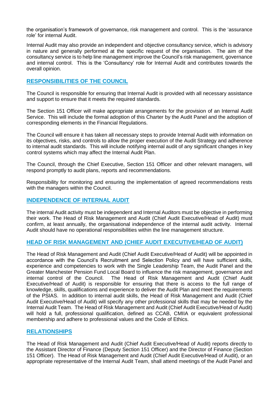the organisation's framework of governance, risk management and control. This is the 'assurance role' for internal Audit.

Internal Audit may also provide an independent and objective consultancy service, which is advisory in nature and generally performed at the specific request of the organisation. The aim of the consultancy service is to help line management improve the Council's risk management, governance and internal control. This is the 'Consultancy' role for Internal Audit and contributes towards the overall opinion.

### **RESPONSIBILITIES OF THE COUNCIL**

The Council is responsible for ensuring that Internal Audit is provided with all necessary assistance and support to ensure that it meets the required standards.

The Section 151 Officer will make appropriate arrangements for the provision of an Internal Audit Service. This will include the formal adoption of this Charter by the Audit Panel and the adoption of corresponding elements in the Financial Regulations.

The Council will ensure it has taken all necessary steps to provide Internal Audit with information on its objectives, risks, and controls to allow the proper execution of the Audit Strategy and adherence to internal audit standards. This will include notifying internal audit of any significant changes in key control systems which may affect the Internal Audit Plan.

The Council, through the Chief Executive, Section 151 Officer and other relevant managers, will respond promptly to audit plans, reports and recommendations.

Responsibility for monitoring and ensuring the implementation of agreed recommendations rests with the managers within the Council.

#### **INDEPENDENCE OF INTERNAL AUDIT**

The internal Audit activity must be independent and Internal Auditors must be objective in performing their work. The Head of Risk Management and Audit (Chief Audit Executive/Head of Audit) must confirm, at least annually, the organisational independence of the internal audit activity. Internal Audit should have no operational responsibilities within the line management structure.

#### **HEAD OF RISK MANAGEMENT AND (CHIEF AUDIT EXECUTIVE/HEAD OF AUDIT)**

The Head of Risk Management and Audit (Chief Audit Executive/Head of Audit) will be appointed in accordance with the Council's Recruitment and Selection Policy and will have sufficient skills, experience and competencies to work with the Single Leadership Team, the Audit Panel and the Greater Manchester Pension Fund Local Board to influence the risk management, governance and internal control of the Council. The Head of Risk Management and Audit (Chief Audit Executive/Head of Audit) is responsible for ensuring that there is access to the full range of knowledge, skills, qualifications and experience to deliver the Audit Plan and meet the requirements of the PSIAS. In addition to internal audit skills, the Head of Risk Management and Audit (Chief Audit Executive/Head of Audit) will specify any other professional skills that may be needed by the Internal Audit Team. The Head of Risk Management and Audit (Chief Audit Executive/Head of Audit) will hold a full, professional qualification, defined as CCAB, CMIIA or equivalent professional membership and adhere to professional values and the Code of Ethics.

#### **RELATIONSHIPS**

The Head of Risk Management and Audit (Chief Audit Executive/Head of Audit) reports directly to the Assistant Director of Finance (Deputy Section 151 Officer) and the Director of Finance (Section 151 Officer). The Head of Risk Management and Audit (Chief Audit Executive/Head of Audit), or an appropriate representative of the Internal Audit Team, shall attend meetings of the Audit Panel and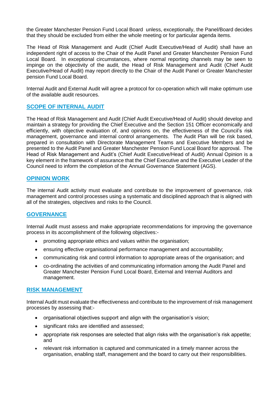the Greater Manchester Pension Fund Local Board unless, exceptionally, the Panel/Board decides that they should be excluded from either the whole meeting or for particular agenda items.

The Head of Risk Management and Audit (Chief Audit Executive/Head of Audit) shall have an independent right of access to the Chair of the Audit Panel and Greater Manchester Pension Fund Local Board. In exceptional circumstances, where normal reporting channels may be seen to impinge on the objectivity of the audit, the Head of Risk Management and Audit (Chief Audit Executive/Head of Audit) may report directly to the Chair of the Audit Panel or Greater Manchester pension Fund Local Board.

Internal Audit and External Audit will agree a protocol for co-operation which will make optimum use of the available audit resources.

#### **SCOPE OF INTERNAL AUDIT**

The Head of Risk Management and Audit (Chief Audit Executive/Head of Audit) should develop and maintain a strategy for providing the Chief Executive and the Section 151 Officer economically and efficiently, with objective evaluation of, and opinions on, the effectiveness of the Council's risk management, governance and internal control arrangements. The Audit Plan will be risk based, prepared in consultation with Directorate Management Teams and Executive Members and be presented to the Audit Panel and Greater Manchester Pension Fund Local Board for approval. The Head of Risk Management and Audit's (Chief Audit Executive/Head of Audit) Annual Opinion is a key element in the framework of assurance that the Chief Executive and the Executive Leader of the Council need to inform the completion of the Annual Governance Statement (AGS).

#### **OPINION WORK**

The internal Audit activity must evaluate and contribute to the improvement of governance, risk management and control processes using a systematic and disciplined approach that is aligned with all of the strategies, objectives and risks to the Council.

# **GOVERNANCE**

Internal Audit must assess and make appropriate recommendations for improving the governance process in its accomplishment of the following objectives:-

- promoting appropriate ethics and values within the organisation;
- ensuring effective organisational performance management and accountability;
- communicating risk and control information to appropriate areas of the organisation; and
- co-ordinating the activities of and communicating information among the Audit Panel and Greater Manchester Pension Fund Local Board, External and Internal Auditors and management.

#### **RISK MANAGEMENT**

Internal Audit must evaluate the effectiveness and contribute to the improvement of risk management processes by assessing that:-

- organisational objectives support and align with the organisation's vision;
- significant risks are identified and assessed;
- appropriate risk responses are selected that align risks with the organisation's risk appetite; and
- relevant risk information is captured and communicated in a timely manner across the organisation, enabling staff, management and the board to carry out their responsibilities.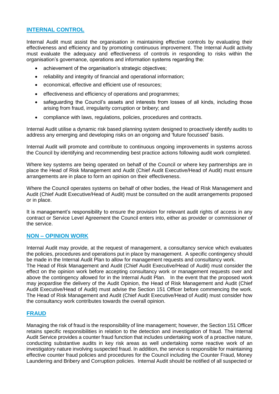# **INTERNAL CONTROL**

Internal Audit must assist the organisation in maintaining effective controls by evaluating their effectiveness and efficiency and by promoting continuous improvement. The Internal Audit activity must evaluate the adequacy and effectiveness of controls in responding to risks within the organisation's governance, operations and information systems regarding the:

- achievement of the organisation's strategic objectives;
- reliability and integrity of financial and operational information;
- economical, effective and efficient use of resources;
- effectiveness and efficiency of operations and programmes;
- safeguarding the Council's assets and interests from losses of all kinds, including those arising from fraud, irregularity corruption or bribery; and
- compliance with laws, regulations, policies, procedures and contracts.

Internal Audit utilise a dynamic risk based planning system designed to proactively identify audits to address any emerging and developing risks on an ongoing and 'future focussed' basis.

Internal Audit will promote and contribute to continuous ongoing improvements in systems across the Council by identifying and recommending best practice actions following audit work completed.

Where key systems are being operated on behalf of the Council or where key partnerships are in place the Head of Risk Management and Audit (Chief Audit Executive/Head of Audit) must ensure arrangements are in place to form an opinion on their effectiveness.

Where the Council operates systems on behalf of other bodies, the Head of Risk Management and Audit (Chief Audit Executive/Head of Audit) must be consulted on the audit arrangements proposed or in place.

It is management's responsibility to ensure the provision for relevant audit rights of access in any contract or Service Level Agreement the Council enters into, either as provider or commissioner of the service.

# **NON – OPINION WORK**

Internal Audit may provide, at the request of management, a consultancy service which evaluates the policies, procedures and operations put in place by management. A specific contingency should be made in the Internal Audit Plan to allow for management requests and consultancy work.

The Head of Risk Management and Audit (Chief Audit Executive/Head of Audit) must consider the effect on the opinion work before accepting consultancy work or management requests over and above the contingency allowed for in the Internal Audit Plan. In the event that the proposed work may jeopardise the delivery of the Audit Opinion, the Head of Risk Management and Audit (Chief Audit Executive/Head of Audit) must advise the Section 151 Officer before commencing the work. The Head of Risk Management and Audit (Chief Audit Executive/Head of Audit) must consider how the consultancy work contributes towards the overall opinion.

# **FRAUD**

Managing the risk of fraud is the responsibility of line management; however, the Section 151 Officer retains specific responsibilities in relation to the detection and investigation of fraud. The Internal Audit Service provides a counter fraud function that includes undertaking work of a proactive nature, conducting substantive audits in key risk areas as well undertaking some reactive work of an investigatory nature involving suspected fraud. In addition, the service is responsible for maintaining effective counter fraud policies and procedures for the Council including the Counter Fraud, Money Laundering and Bribery and Corruption policies. Internal Audit should be notified of all suspected or